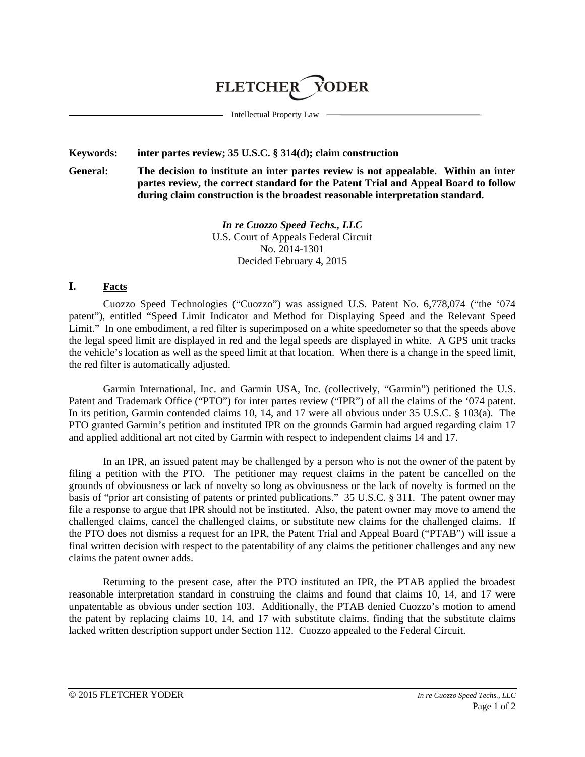# **FLETCHER YODER**

Intellectual Property Law

#### **Keywords: inter partes review; 35 U.S.C. § 314(d); claim construction**

**General: The decision to institute an inter partes review is not appealable. Within an inter partes review, the correct standard for the Patent Trial and Appeal Board to follow during claim construction is the broadest reasonable interpretation standard.**

> *In re Cuozzo Speed Techs., LLC* U.S. Court of Appeals Federal Circuit No. 2014-1301 Decided February 4, 2015

#### **I. Facts**

Cuozzo Speed Technologies ("Cuozzo") was assigned U.S. Patent No. 6,778,074 ("the '074 patent"), entitled "Speed Limit Indicator and Method for Displaying Speed and the Relevant Speed Limit." In one embodiment, a red filter is superimposed on a white speedometer so that the speeds above the legal speed limit are displayed in red and the legal speeds are displayed in white. A GPS unit tracks the vehicle's location as well as the speed limit at that location. When there is a change in the speed limit, the red filter is automatically adjusted.

Garmin International, Inc. and Garmin USA, Inc. (collectively, "Garmin") petitioned the U.S. Patent and Trademark Office ("PTO") for inter partes review ("IPR") of all the claims of the '074 patent. In its petition, Garmin contended claims 10, 14, and 17 were all obvious under 35 U.S.C. § 103(a). The PTO granted Garmin's petition and instituted IPR on the grounds Garmin had argued regarding claim 17 and applied additional art not cited by Garmin with respect to independent claims 14 and 17.

In an IPR, an issued patent may be challenged by a person who is not the owner of the patent by filing a petition with the PTO. The petitioner may request claims in the patent be cancelled on the grounds of obviousness or lack of novelty so long as obviousness or the lack of novelty is formed on the basis of "prior art consisting of patents or printed publications." 35 U.S.C. § 311. The patent owner may file a response to argue that IPR should not be instituted. Also, the patent owner may move to amend the challenged claims, cancel the challenged claims, or substitute new claims for the challenged claims. If the PTO does not dismiss a request for an IPR, the Patent Trial and Appeal Board ("PTAB") will issue a final written decision with respect to the patentability of any claims the petitioner challenges and any new claims the patent owner adds.

Returning to the present case, after the PTO instituted an IPR, the PTAB applied the broadest reasonable interpretation standard in construing the claims and found that claims 10, 14, and 17 were unpatentable as obvious under section 103. Additionally, the PTAB denied Cuozzo's motion to amend the patent by replacing claims 10, 14, and 17 with substitute claims, finding that the substitute claims lacked written description support under Section 112. Cuozzo appealed to the Federal Circuit.